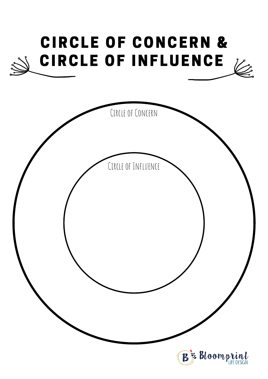